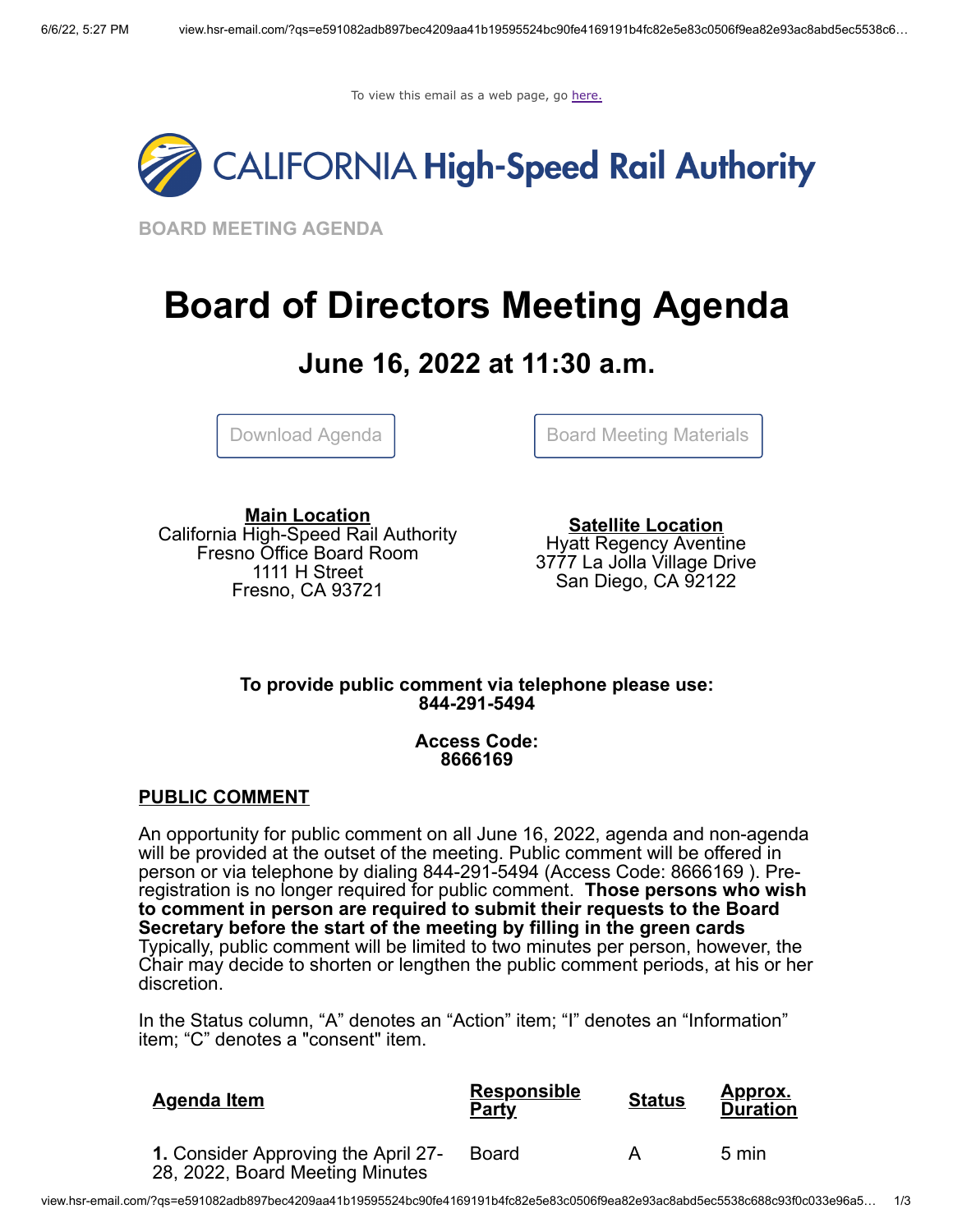To view this email as a web page, go [here.](http://view.hsr-email.com/?qs=e591082adb897bec4209aa41b19595524bc90fe4169191b4fc82e5e83c0506f9ea82e93ac8abd5ec5538c688c93f0c033e96a504e129848914dee70a4c79034a57eeb67fafaadde8a8c110703f4779f7)



**BOARD MEETING AGENDA**

# **Board of Directors Meeting Agenda**

# **June 16, 2022 at 11:30 a.m.**

[Download Agenda](http://click.hsr-email.com/?qs=8ae2dcdd9f1e73c981d91fed67cd1e3a16b5eef789a8825eb386881a08bc6cb9a3a2c912568f91f2e44ff3b3ad2f56c553d189b90c2d318c) | Roard Meeting Materials

**Main Location** California High-Speed Rail Authority Fresno Office Board Room 1111 H Street Fresno, CA 93721

**Satellite Location** Hyatt Regency Aventine 3777 La Jolla Village Drive San Diego, CA 92122

# **To provide public comment via telephone please use: 844-291-5494**

# **Access Code: 8666169**

# **PUBLIC COMMENT**

An opportunity for public comment on all June 16, 2022, agenda and non-agenda will be provided at the outset of the meeting. Public comment will be offered in person or via telephone by dialing 844-291-5494 (Access Code: 8666169 ). Preregistration is no longer required for public comment. **Those persons who wish to comment in person are required to submit their requests to the Board Secretary before the start of the meeting by filling in the green cards** Typically, public comment will be limited to two minutes per person, however, the Chair may decide to shorten or lengthen the public comment periods, at his or her discretion.

In the Status column, "A" denotes an "Action" item; "I" denotes an "Information" item; "C" denotes a "consent" item.

| <b>Agenda Item</b>                                                     | <b>Responsible</b><br><b>Party</b> | <b>Status</b> | <u>Approx.</u><br><b>Duration</b> |
|------------------------------------------------------------------------|------------------------------------|---------------|-----------------------------------|
| 1. Consider Approving the April 27-<br>28, 2022, Board Meeting Minutes | <b>Board</b>                       |               | 5 min                             |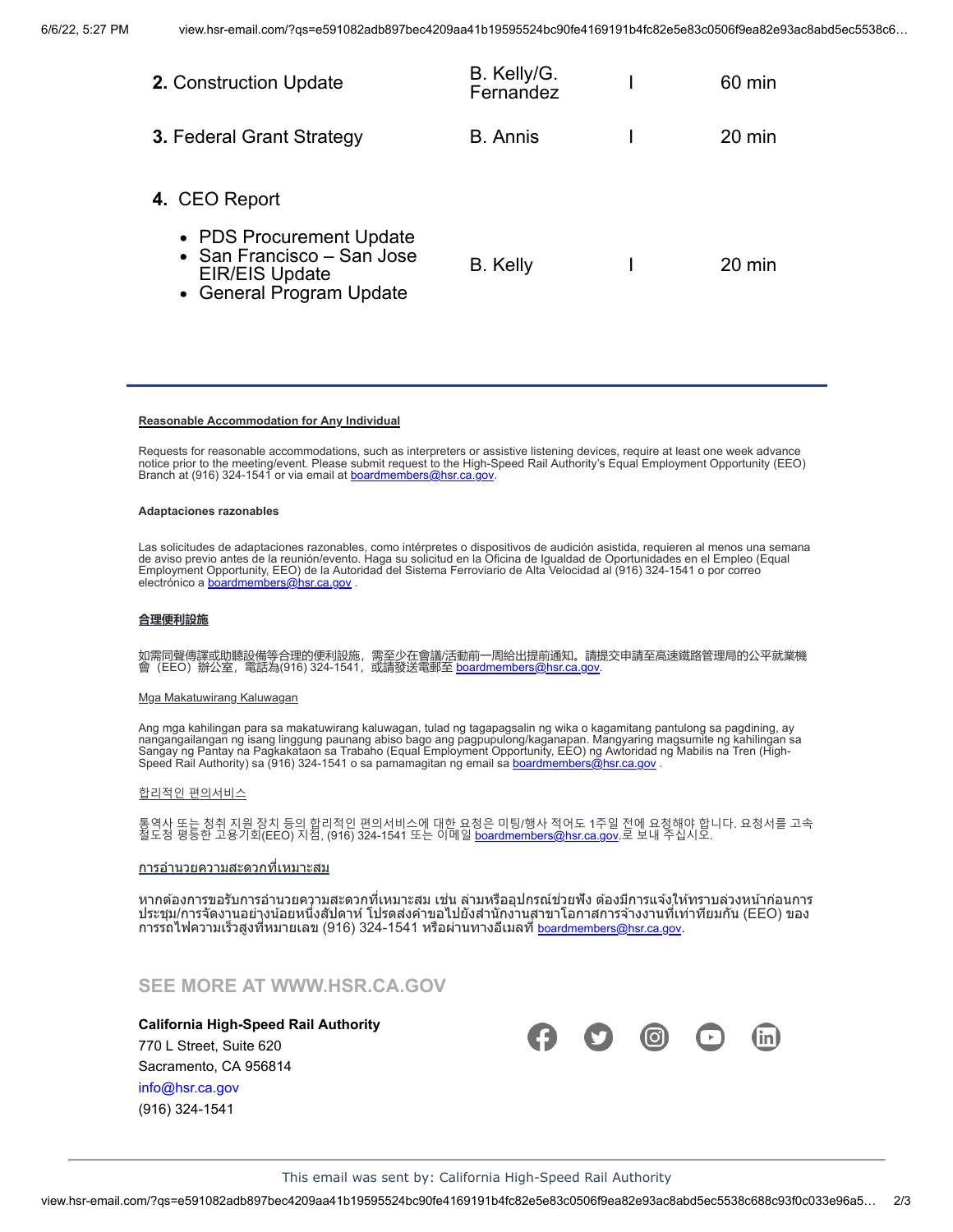| <b>2.</b> Construction Update                                                                               | B. Kelly/G.<br>Fernandez | 60 min           |
|-------------------------------------------------------------------------------------------------------------|--------------------------|------------------|
| <b>3. Federal Grant Strategy</b>                                                                            | <b>B.</b> Annis          | $20 \text{ min}$ |
| 4. CEO Report                                                                                               |                          |                  |
| • PDS Procurement Update<br>• San Francisco – San Jose<br><b>EIR/EIS Update</b><br>• General Program Update | B. Kelly                 | 20 min           |

#### **Reasonable Accommodation for Any Individual**

Requests for reasonable accommodations, such as interpreters or assistive listening devices, require at least one week advance notice prior to the meeting/event. Please submit request to the High-Speed Rail Authority's Equal Employment Opportunity (EEO) Branch at (916) 324-1541 or via email at **boardmembers@hsr.ca.gov**.

#### **Adaptaciones razonables**

Las solicitudes de adaptaciones razonables, como intérpretes o dispositivos de audición asistida, requieren al menos una semana<br>de aviso previo antes de la reunión/evento. Haga su solicitud en la Oficina de Igualdad de Opo

#### **合理便利設施**

如需同聲傳譯或助聽設備等合理的便利設施,需至少在會議/活動前一周給出提前通知。請提交申請至高速鐵路管理局的公平就業機 會(EEO)辦公室,電話為(916) 324-1541,或請發送電郵至 <u>[boardmembers@hsr.ca.gov](mailto:boardmembers@hsr.ca.gov?subject=)</u>.

#### Mga Makatuwirang Kaluwagan

Ang mga kahilingan para sa makatuwirang kaluwagan, tulad ng tagapagsalin ng wika o kagamitang pantulong sa pagdining, ay<br>nangangailangan ng isang linggung paunang abiso bago ang pagpupulong/kaganapan. Mangyaring magsumite Speed Rail Authority) sa (916) 324-1541 o sa pamamagitan ng email sa <u>[boardmembers@hsr.ca.gov](mailto:boardmembers@hsr.ca.gov?subject=)</u> .

#### 합리적인 편의서비스

통역사 또는 청취 지원 장치 등의 합리적인 편의서비스에 대한 요청은 미팅/행사 적어도 1주일 전에 요청해야 합니다. 요청서를 고속<br>철도청 평등한 고용기회(EEO) 지점, (916) 324-1541 또는 이메일 <u>[boardmembers@hsr.ca.gov](mailto:boardmembers@hsr.ca.gov?subject=)</u>.로 보내 주십시오.

#### <u>การอำนวยความสะดวกที่เหมาะสม</u>

หากต้องการขอรับการอำนวยความสะดวกที่เหมาะสม เช่น ล่ามหรืออุปกรณ์ช่วยฟัง ต้องมีการแจ้งให้ทราบล่วงหน้าก่อนการ ประชุม/การจัดงานอย่างน้อยหนึ่งสัปดาห์ โปรดส่งคำขอไปยังสำนักงานสาขาโอกาสการจ้างงานที่เท่าที่ยมกัน (EEO) ของ ี การรถไฟความเร็วสูงที่หมายเลข (916) 324-1541 หรือผ่านทางอีเมลที่ <u>[boardmembers@hsr.ca.gov](mailto:boardmembers@hsr.ca.gov?subject=)</u>.

# **SEE MORE AT [WWW.HSR.CA.GOV](http://click.hsr-email.com/?qs=ddbe7cd28f514586e4bf1d25f85af04f116272bf8a8ab45b20433d7d3648a9a4426de494691ddbef1e855072b9ebeb616d532b3b3e769508)**

#### **California High-Speed Rail Authority**

770 L Street, Suite 620 Sacramento, CA 956814 [info@hsr.ca.gov](mailto:info@hsr.ca.gov?subject=Board%20Meeting%20Agenda) (916) 324-1541